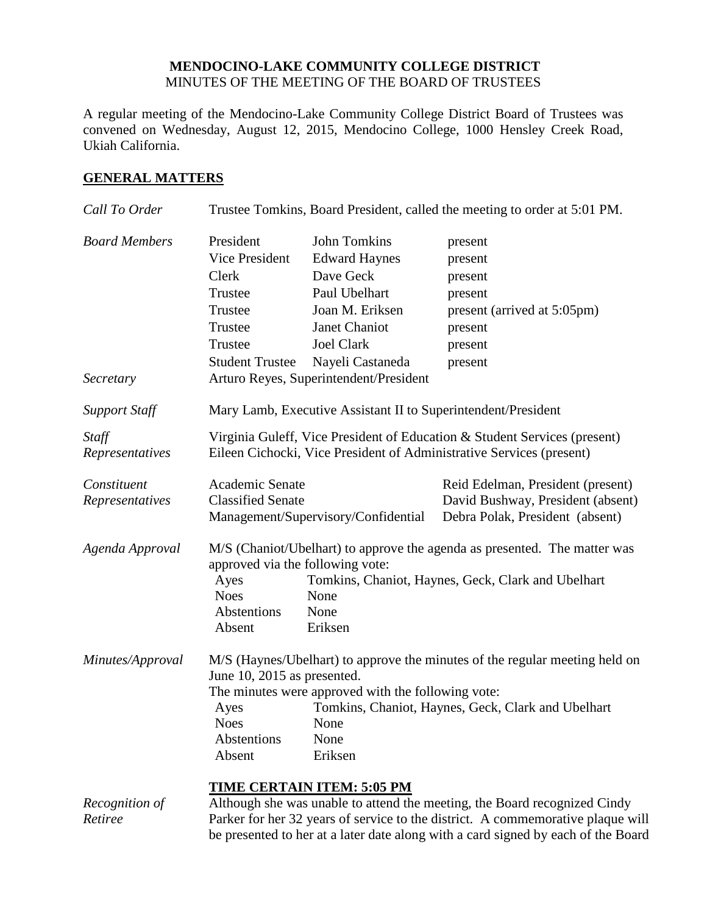# **MENDOCINO-LAKE COMMUNITY COLLEGE DISTRICT** MINUTES OF THE MEETING OF THE BOARD OF TRUSTEES

A regular meeting of the Mendocino-Lake Community College District Board of Trustees was convened on Wednesday, August 12, 2015, Mendocino College, 1000 Hensley Creek Road, Ukiah California.

# **GENERAL MATTERS**

| Call To Order                     | Trustee Tomkins, Board President, called the meeting to order at 5:01 PM.                                                                                                                                                                                                                         |                                                                                                                                                                                                  |                                                                                                                                                              |
|-----------------------------------|---------------------------------------------------------------------------------------------------------------------------------------------------------------------------------------------------------------------------------------------------------------------------------------------------|--------------------------------------------------------------------------------------------------------------------------------------------------------------------------------------------------|--------------------------------------------------------------------------------------------------------------------------------------------------------------|
| <b>Board Members</b><br>Secretary | President<br>Vice President<br>Clerk<br>Trustee<br>Trustee<br>Trustee<br>Trustee<br><b>Student Trustee</b>                                                                                                                                                                                        | <b>John Tomkins</b><br><b>Edward Haynes</b><br>Dave Geck<br>Paul Ubelhart<br>Joan M. Eriksen<br>Janet Chaniot<br><b>Joel Clark</b><br>Nayeli Castaneda<br>Arturo Reyes, Superintendent/President | present<br>present<br>present<br>present<br>present (arrived at 5:05pm)<br>present<br>present<br>present                                                     |
| <b>Support Staff</b>              |                                                                                                                                                                                                                                                                                                   | Mary Lamb, Executive Assistant II to Superintendent/President                                                                                                                                    |                                                                                                                                                              |
| Staff<br>Representatives          | Virginia Guleff, Vice President of Education & Student Services (present)<br>Eileen Cichocki, Vice President of Administrative Services (present)                                                                                                                                                 |                                                                                                                                                                                                  |                                                                                                                                                              |
| Constituent<br>Representatives    | Academic Senate<br><b>Classified Senate</b>                                                                                                                                                                                                                                                       | Management/Supervisory/Confidential                                                                                                                                                              | Reid Edelman, President (present)<br>David Bushway, President (absent)<br>Debra Polak, President (absent)                                                    |
| Agenda Approval                   | Ayes<br><b>Noes</b><br>Abstentions<br>Absent                                                                                                                                                                                                                                                      | approved via the following vote:<br>None<br>None<br>Eriksen                                                                                                                                      | M/S (Chaniot/Ubelhart) to approve the agenda as presented. The matter was<br>Tomkins, Chaniot, Haynes, Geck, Clark and Ubelhart                              |
| Minutes/Approval                  | M/S (Haynes/Ubelhart) to approve the minutes of the regular meeting held on<br>June 10, 2015 as presented.<br>The minutes were approved with the following vote:<br>Tomkins, Chaniot, Haynes, Geck, Clark and Ubelhart<br>Ayes<br><b>Noes</b><br>None<br>Abstentions<br>None<br>Eriksen<br>Absent |                                                                                                                                                                                                  |                                                                                                                                                              |
| Recognition of<br>Retiree         |                                                                                                                                                                                                                                                                                                   | <b>TIME CERTAIN ITEM: 5:05 PM</b>                                                                                                                                                                | Although she was unable to attend the meeting, the Board recognized Cindy<br>Parker for her 32 years of service to the district. A commemorative plaque will |

be presented to her at a later date along with a card signed by each of the Board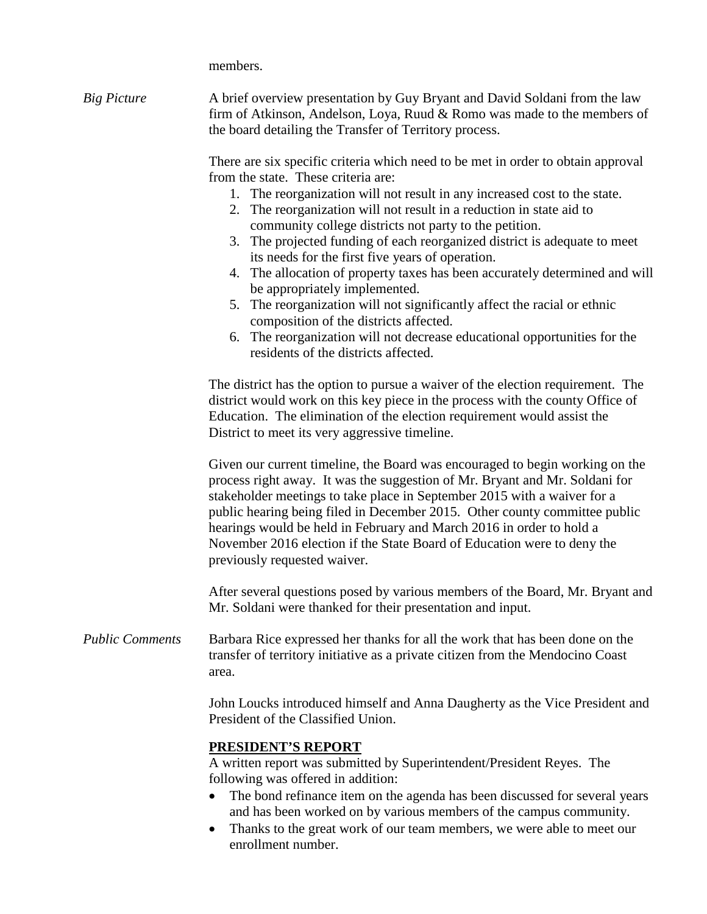members.

| <b>Big Picture</b>     | A brief overview presentation by Guy Bryant and David Soldani from the law<br>firm of Atkinson, Andelson, Loya, Ruud & Romo was made to the members of<br>the board detailing the Transfer of Territory process.                                                                                                                                                                                                                                                                                                                                                                                                                                                                                                                                                                                                                      |  |  |  |
|------------------------|---------------------------------------------------------------------------------------------------------------------------------------------------------------------------------------------------------------------------------------------------------------------------------------------------------------------------------------------------------------------------------------------------------------------------------------------------------------------------------------------------------------------------------------------------------------------------------------------------------------------------------------------------------------------------------------------------------------------------------------------------------------------------------------------------------------------------------------|--|--|--|
|                        | There are six specific criteria which need to be met in order to obtain approval<br>from the state. These criteria are:<br>1. The reorganization will not result in any increased cost to the state.<br>2. The reorganization will not result in a reduction in state aid to<br>community college districts not party to the petition.<br>3. The projected funding of each reorganized district is adequate to meet<br>its needs for the first five years of operation.<br>4. The allocation of property taxes has been accurately determined and will<br>be appropriately implemented.<br>5. The reorganization will not significantly affect the racial or ethnic<br>composition of the districts affected.<br>The reorganization will not decrease educational opportunities for the<br>6.<br>residents of the districts affected. |  |  |  |
|                        | The district has the option to pursue a waiver of the election requirement. The<br>district would work on this key piece in the process with the county Office of<br>Education. The elimination of the election requirement would assist the<br>District to meet its very aggressive timeline.                                                                                                                                                                                                                                                                                                                                                                                                                                                                                                                                        |  |  |  |
|                        | Given our current timeline, the Board was encouraged to begin working on the<br>process right away. It was the suggestion of Mr. Bryant and Mr. Soldani for<br>stakeholder meetings to take place in September 2015 with a waiver for a<br>public hearing being filed in December 2015. Other county committee public<br>hearings would be held in February and March 2016 in order to hold a<br>November 2016 election if the State Board of Education were to deny the<br>previously requested waiver.                                                                                                                                                                                                                                                                                                                              |  |  |  |
|                        | After several questions posed by various members of the Board, Mr. Bryant and<br>Mr. Soldani were thanked for their presentation and input.                                                                                                                                                                                                                                                                                                                                                                                                                                                                                                                                                                                                                                                                                           |  |  |  |
| <b>Public Comments</b> | Barbara Rice expressed her thanks for all the work that has been done on the<br>transfer of territory initiative as a private citizen from the Mendocino Coast<br>area.                                                                                                                                                                                                                                                                                                                                                                                                                                                                                                                                                                                                                                                               |  |  |  |
|                        | John Loucks introduced himself and Anna Daugherty as the Vice President and<br>President of the Classified Union.                                                                                                                                                                                                                                                                                                                                                                                                                                                                                                                                                                                                                                                                                                                     |  |  |  |
|                        | <b>PRESIDENT'S REPORT</b><br>A written report was submitted by Superintendent/President Reyes. The<br>following was offered in addition:<br>The bond refinance item on the agenda has been discussed for several years<br>and has been worked on by various members of the campus community.<br>Thanks to the great work of our team members, we were able to meet our<br>enrollment number.                                                                                                                                                                                                                                                                                                                                                                                                                                          |  |  |  |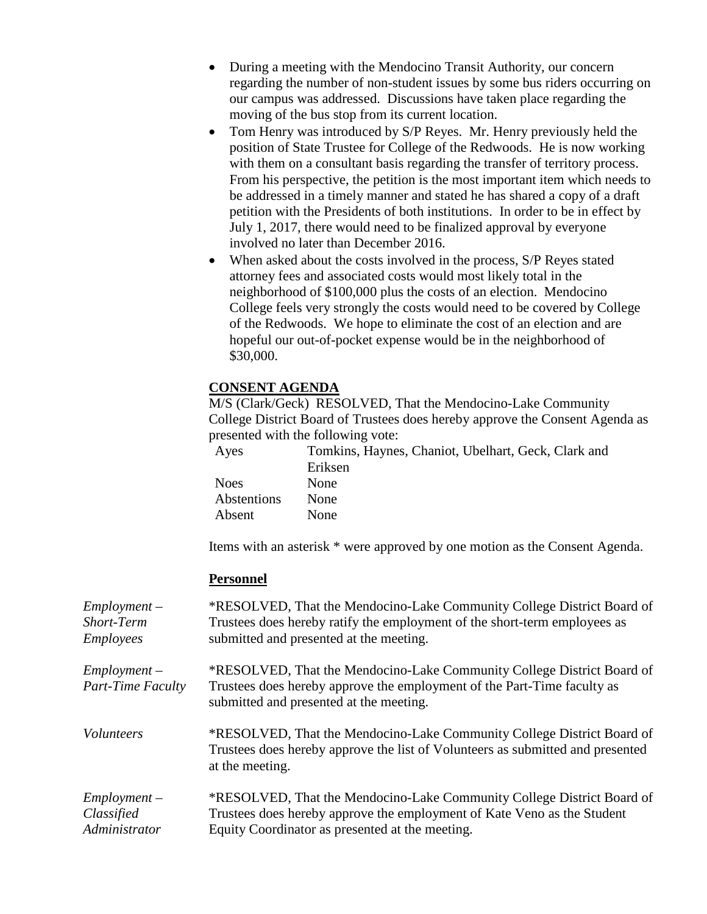- During a meeting with the Mendocino Transit Authority, our concern regarding the number of non-student issues by some bus riders occurring on our campus was addressed. Discussions have taken place regarding the moving of the bus stop from its current location.
- Tom Henry was introduced by S/P Reyes. Mr. Henry previously held the position of State Trustee for College of the Redwoods. He is now working with them on a consultant basis regarding the transfer of territory process. From his perspective, the petition is the most important item which needs to be addressed in a timely manner and stated he has shared a copy of a draft petition with the Presidents of both institutions. In order to be in effect by July 1, 2017, there would need to be finalized approval by everyone involved no later than December 2016.
- When asked about the costs involved in the process, S/P Reyes stated attorney fees and associated costs would most likely total in the neighborhood of \$100,000 plus the costs of an election. Mendocino College feels very strongly the costs would need to be covered by College of the Redwoods. We hope to eliminate the cost of an election and are hopeful our out-of-pocket expense would be in the neighborhood of \$30,000.

## **CONSENT AGENDA**

M/S (Clark/Geck) RESOLVED, That the Mendocino-Lake Community College District Board of Trustees does hereby approve the Consent Agenda as presented with the following vote:

| Tomkins, Haynes, Chaniot, Ubelhart, Geck, Clark and |
|-----------------------------------------------------|
| Eriksen                                             |
| <b>None</b>                                         |
| None                                                |
| <b>None</b>                                         |
|                                                     |

Items with an asterisk \* were approved by one motion as the Consent Agenda.

## **Personnel**

| $Emplovment -$                             | *RESOLVED, That the Mendocino-Lake Community College District Board of                                                                                                                       |
|--------------------------------------------|----------------------------------------------------------------------------------------------------------------------------------------------------------------------------------------------|
| Short-Term                                 | Trustees does hereby ratify the employment of the short-term employees as                                                                                                                    |
| <b>Employees</b>                           | submitted and presented at the meeting.                                                                                                                                                      |
| $Employment -$<br><b>Part-Time Faculty</b> | *RESOLVED, That the Mendocino-Lake Community College District Board of<br>Trustees does hereby approve the employment of the Part-Time faculty as<br>submitted and presented at the meeting. |
| <i>Volunteers</i>                          | *RESOLVED, That the Mendocino-Lake Community College District Board of<br>Trustees does hereby approve the list of Volunteers as submitted and presented<br>at the meeting.                  |
| $Employment -$                             | *RESOLVED, That the Mendocino-Lake Community College District Board of                                                                                                                       |
| Classified                                 | Trustees does hereby approve the employment of Kate Veno as the Student                                                                                                                      |
| Administrator                              | Equity Coordinator as presented at the meeting.                                                                                                                                              |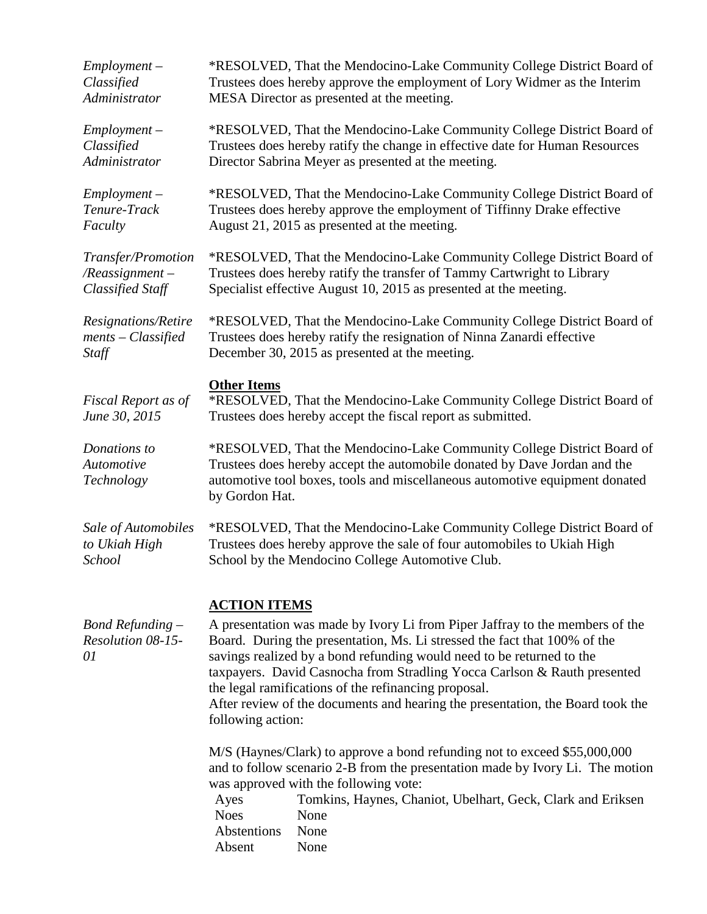| $Employment -$                                | *RESOLVED, That the Mendocino-Lake Community College District Board of                                                                                                                                                                                                                                                                                                                                                                                                                               |
|-----------------------------------------------|------------------------------------------------------------------------------------------------------------------------------------------------------------------------------------------------------------------------------------------------------------------------------------------------------------------------------------------------------------------------------------------------------------------------------------------------------------------------------------------------------|
| Classified                                    | Trustees does hereby approve the employment of Lory Widmer as the Interim                                                                                                                                                                                                                                                                                                                                                                                                                            |
| Administrator                                 | MESA Director as presented at the meeting.                                                                                                                                                                                                                                                                                                                                                                                                                                                           |
| $Employment -$                                | *RESOLVED, That the Mendocino-Lake Community College District Board of                                                                                                                                                                                                                                                                                                                                                                                                                               |
| Classified                                    | Trustees does hereby ratify the change in effective date for Human Resources                                                                                                                                                                                                                                                                                                                                                                                                                         |
| Administrator                                 | Director Sabrina Meyer as presented at the meeting.                                                                                                                                                                                                                                                                                                                                                                                                                                                  |
| $Employment -$                                | *RESOLVED, That the Mendocino-Lake Community College District Board of                                                                                                                                                                                                                                                                                                                                                                                                                               |
| Tenure-Track                                  | Trustees does hereby approve the employment of Tiffinny Drake effective                                                                                                                                                                                                                                                                                                                                                                                                                              |
| Faculty                                       | August 21, 2015 as presented at the meeting.                                                                                                                                                                                                                                                                                                                                                                                                                                                         |
| Transfer/Promotion                            | *RESOLVED, That the Mendocino-Lake Community College District Board of                                                                                                                                                                                                                                                                                                                                                                                                                               |
| $\sqrt{R}e$ assignment –                      | Trustees does hereby ratify the transfer of Tammy Cartwright to Library                                                                                                                                                                                                                                                                                                                                                                                                                              |
| <b>Classified Staff</b>                       | Specialist effective August 10, 2015 as presented at the meeting.                                                                                                                                                                                                                                                                                                                                                                                                                                    |
| Resignations/Retire                           | *RESOLVED, That the Mendocino-Lake Community College District Board of                                                                                                                                                                                                                                                                                                                                                                                                                               |
| $ments - Classified$                          | Trustees does hereby ratify the resignation of Ninna Zanardi effective                                                                                                                                                                                                                                                                                                                                                                                                                               |
| Staff                                         | December 30, 2015 as presented at the meeting.                                                                                                                                                                                                                                                                                                                                                                                                                                                       |
| Fiscal Report as of<br>June 30, 2015          | <b>Other Items</b><br>*RESOLVED, That the Mendocino-Lake Community College District Board of<br>Trustees does hereby accept the fiscal report as submitted.                                                                                                                                                                                                                                                                                                                                          |
| Donations to<br>Automotive<br>Technology      | *RESOLVED, That the Mendocino-Lake Community College District Board of<br>Trustees does hereby accept the automobile donated by Dave Jordan and the<br>automotive tool boxes, tools and miscellaneous automotive equipment donated<br>by Gordon Hat.                                                                                                                                                                                                                                                 |
| Sale of Automobiles                           | *RESOLVED, That the Mendocino-Lake Community College District Board of                                                                                                                                                                                                                                                                                                                                                                                                                               |
| to Ukiah High                                 | Trustees does hereby approve the sale of four automobiles to Ukiah High                                                                                                                                                                                                                                                                                                                                                                                                                              |
| School                                        | School by the Mendocino College Automotive Club.                                                                                                                                                                                                                                                                                                                                                                                                                                                     |
| Bond Refunding $-$<br>Resolution 08-15-<br>01 | <b>ACTION ITEMS</b><br>A presentation was made by Ivory Li from Piper Jaffray to the members of the<br>Board. During the presentation, Ms. Li stressed the fact that 100% of the<br>savings realized by a bond refunding would need to be returned to the<br>taxpayers. David Casnocha from Stradling Yocca Carlson & Rauth presented<br>the legal ramifications of the refinancing proposal.<br>After review of the documents and hearing the presentation, the Board took the<br>following action: |
|                                               | M/S (Haynes/Clark) to approve a bond refunding not to exceed \$55,000,000<br>and to follow scenario 2-B from the presentation made by Ivory Li. The motion<br>was approved with the following vote:<br>Ayes<br>Tomkins, Haynes, Chaniot, Ubelhart, Geck, Clark and Eriksen<br><b>Noes</b><br>None<br>Abstentions<br>None<br>Absent<br>None                                                                                                                                                           |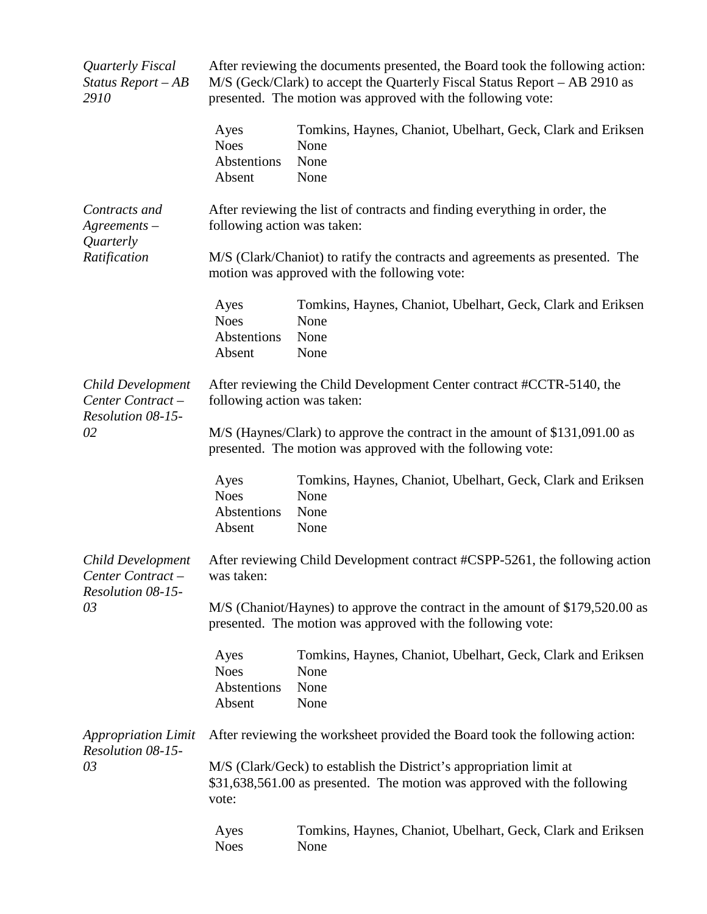| Quarterly Fiscal<br>Status Report-AB<br>2910                     | After reviewing the documents presented, the Board took the following action:<br>M/S (Geck/Clark) to accept the Quarterly Fiscal Status Report – AB 2910 as<br>presented. The motion was approved with the following vote: |                                                                                                                                                 |  |
|------------------------------------------------------------------|----------------------------------------------------------------------------------------------------------------------------------------------------------------------------------------------------------------------------|-------------------------------------------------------------------------------------------------------------------------------------------------|--|
|                                                                  | Ayes<br><b>Noes</b><br>Abstentions<br>Absent                                                                                                                                                                               | Tomkins, Haynes, Chaniot, Ubelhart, Geck, Clark and Eriksen<br>None<br>None<br>None                                                             |  |
| Contracts and<br>$A$ greements –<br>Quarterly<br>Ratification    | After reviewing the list of contracts and finding everything in order, the<br>following action was taken:                                                                                                                  |                                                                                                                                                 |  |
|                                                                  |                                                                                                                                                                                                                            | M/S (Clark/Chaniot) to ratify the contracts and agreements as presented. The<br>motion was approved with the following vote:                    |  |
|                                                                  | Ayes<br><b>Noes</b><br>Abstentions<br>Absent                                                                                                                                                                               | Tomkins, Haynes, Chaniot, Ubelhart, Geck, Clark and Eriksen<br>None<br>None<br>None                                                             |  |
| Child Development<br>Center Contract-<br>Resolution 08-15-<br>02 | After reviewing the Child Development Center contract #CCTR-5140, the<br>following action was taken:                                                                                                                       |                                                                                                                                                 |  |
|                                                                  | M/S (Haynes/Clark) to approve the contract in the amount of \$131,091.00 as<br>presented. The motion was approved with the following vote:                                                                                 |                                                                                                                                                 |  |
|                                                                  | Ayes<br><b>Noes</b><br>Abstentions<br>Absent                                                                                                                                                                               | Tomkins, Haynes, Chaniot, Ubelhart, Geck, Clark and Eriksen<br>None<br>None<br>None                                                             |  |
| Child Development<br>Center Contract-<br>Resolution 08-15-<br>03 | was taken:                                                                                                                                                                                                                 | After reviewing Child Development contract #CSPP-5261, the following action                                                                     |  |
|                                                                  |                                                                                                                                                                                                                            | M/S (Chaniot/Haynes) to approve the contract in the amount of \$179,520.00 as<br>presented. The motion was approved with the following vote:    |  |
|                                                                  | Ayes<br><b>Noes</b><br>Abstentions<br>Absent                                                                                                                                                                               | Tomkins, Haynes, Chaniot, Ubelhart, Geck, Clark and Eriksen<br>None<br>None<br>None                                                             |  |
| <b>Appropriation Limit</b><br>Resolution 08-15-<br>03            |                                                                                                                                                                                                                            | After reviewing the worksheet provided the Board took the following action:                                                                     |  |
|                                                                  | vote:                                                                                                                                                                                                                      | M/S (Clark/Geck) to establish the District's appropriation limit at<br>\$31,638,561.00 as presented. The motion was approved with the following |  |
|                                                                  | Ayes<br><b>Noes</b>                                                                                                                                                                                                        | Tomkins, Haynes, Chaniot, Ubelhart, Geck, Clark and Eriksen<br>None                                                                             |  |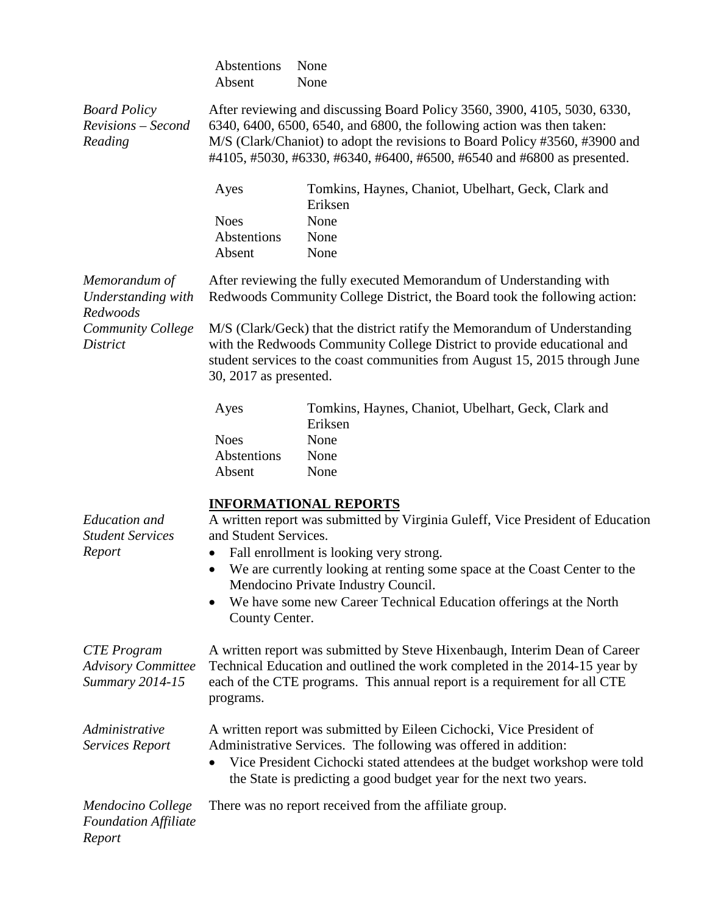|                                                                    | Abstentions<br>Absent                                                                                                                                                                                                                                                                                         | None<br>None                                                                                                                                                                                                                          |  |
|--------------------------------------------------------------------|---------------------------------------------------------------------------------------------------------------------------------------------------------------------------------------------------------------------------------------------------------------------------------------------------------------|---------------------------------------------------------------------------------------------------------------------------------------------------------------------------------------------------------------------------------------|--|
| <b>Board Policy</b><br>Revisions - Second<br>Reading               | After reviewing and discussing Board Policy 3560, 3900, 4105, 5030, 6330,<br>6340, 6400, 6500, 6540, and 6800, the following action was then taken:<br>M/S (Clark/Chaniot) to adopt the revisions to Board Policy #3560, #3900 and<br>#4105, #5030, #6330, #6340, #6400, #6500, #6540 and #6800 as presented. |                                                                                                                                                                                                                                       |  |
|                                                                    | Ayes                                                                                                                                                                                                                                                                                                          | Tomkins, Haynes, Chaniot, Ubelhart, Geck, Clark and<br>Eriksen                                                                                                                                                                        |  |
|                                                                    | <b>Noes</b><br>Abstentions                                                                                                                                                                                                                                                                                    | None<br>None                                                                                                                                                                                                                          |  |
|                                                                    | Absent                                                                                                                                                                                                                                                                                                        | None                                                                                                                                                                                                                                  |  |
| Memorandum of<br>Understanding with<br>Redwoods                    |                                                                                                                                                                                                                                                                                                               | After reviewing the fully executed Memorandum of Understanding with<br>Redwoods Community College District, the Board took the following action:                                                                                      |  |
| Community College<br><b>District</b>                               | M/S (Clark/Geck) that the district ratify the Memorandum of Understanding<br>with the Redwoods Community College District to provide educational and<br>student services to the coast communities from August 15, 2015 through June<br>30, 2017 as presented.                                                 |                                                                                                                                                                                                                                       |  |
|                                                                    | Ayes                                                                                                                                                                                                                                                                                                          | Tomkins, Haynes, Chaniot, Ubelhart, Geck, Clark and<br>Eriksen                                                                                                                                                                        |  |
|                                                                    | <b>Noes</b>                                                                                                                                                                                                                                                                                                   | None                                                                                                                                                                                                                                  |  |
|                                                                    | Abstentions<br>Absent                                                                                                                                                                                                                                                                                         | None<br>None                                                                                                                                                                                                                          |  |
| <b>Education</b> and<br><b>Student Services</b><br>Report          | and Student Services.                                                                                                                                                                                                                                                                                         | <b>INFORMATIONAL REPORTS</b><br>A written report was submitted by Virginia Guleff, Vice President of Education                                                                                                                        |  |
|                                                                    | Fall enrollment is looking very strong.<br>We are currently looking at renting some space at the Coast Center to the<br>$\bullet$<br>Mendocino Private Industry Council.                                                                                                                                      |                                                                                                                                                                                                                                       |  |
|                                                                    | County Center.                                                                                                                                                                                                                                                                                                | We have some new Career Technical Education offerings at the North                                                                                                                                                                    |  |
| <b>CTE</b> Program<br><b>Advisory Committee</b><br>Summary 2014-15 | programs.                                                                                                                                                                                                                                                                                                     | A written report was submitted by Steve Hixenbaugh, Interim Dean of Career<br>Technical Education and outlined the work completed in the 2014-15 year by<br>each of the CTE programs. This annual report is a requirement for all CTE |  |
| Administrative<br><b>Services Report</b>                           | A written report was submitted by Eileen Cichocki, Vice President of<br>Administrative Services. The following was offered in addition:<br>Vice President Cichocki stated attendees at the budget workshop were told<br>the State is predicting a good budget year for the next two years.                    |                                                                                                                                                                                                                                       |  |
| Mendocino College<br><b>Foundation Affiliate</b><br>Report         |                                                                                                                                                                                                                                                                                                               | There was no report received from the affiliate group.                                                                                                                                                                                |  |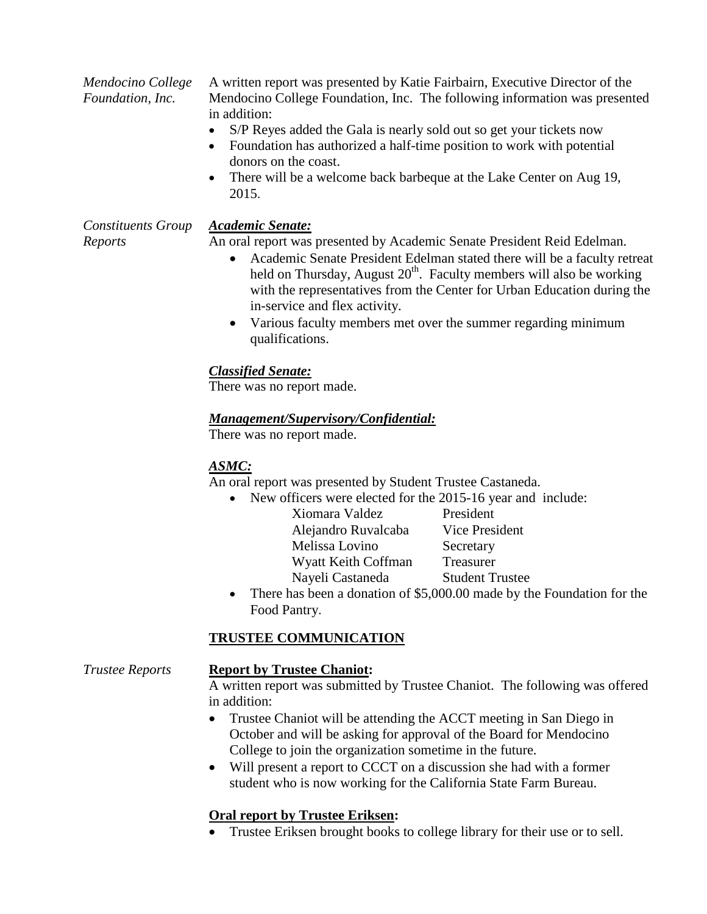*Mendocino College Foundation, Inc.*

A written report was presented by Katie Fairbairn, Executive Director of the Mendocino College Foundation, Inc. The following information was presented in addition:

- S/P Reyes added the Gala is nearly sold out so get your tickets now
- Foundation has authorized a half-time position to work with potential donors on the coast.
- There will be a welcome back barbeque at the Lake Center on Aug 19, 2015.

*Constituents Group Reports*

## *Academic Senate:*

An oral report was presented by Academic Senate President Reid Edelman.

- Academic Senate President Edelman stated there will be a faculty retreat held on Thursday, August  $20<sup>th</sup>$ . Faculty members will also be working with the representatives from the Center for Urban Education during the in-service and flex activity.
- Various faculty members met over the summer regarding minimum qualifications.

# *Classified Senate:*

There was no report made.

# *Management/Supervisory/Confidential:*

There was no report made.

# *ASMC:*

An oral report was presented by Student Trustee Castaneda.

- New officers were elected for the 2015-16 year and include:
	- Xiomara Valdez President Alejandro Ruvalcaba Vice President Melissa Lovino Secretary Wyatt Keith Coffman Treasurer Nayeli Castaneda Student Trustee
- There has been a donation of \$5,000.00 made by the Foundation for the Food Pantry.

# **TRUSTEE COMMUNICATION**

# *Trustee Reports* **Report by Trustee Chaniot:**

A written report was submitted by Trustee Chaniot. The following was offered in addition:

- Trustee Chaniot will be attending the ACCT meeting in San Diego in October and will be asking for approval of the Board for Mendocino College to join the organization sometime in the future.
- Will present a report to CCCT on a discussion she had with a former student who is now working for the California State Farm Bureau.

# **Oral report by Trustee Eriksen:**

• Trustee Eriksen brought books to college library for their use or to sell.